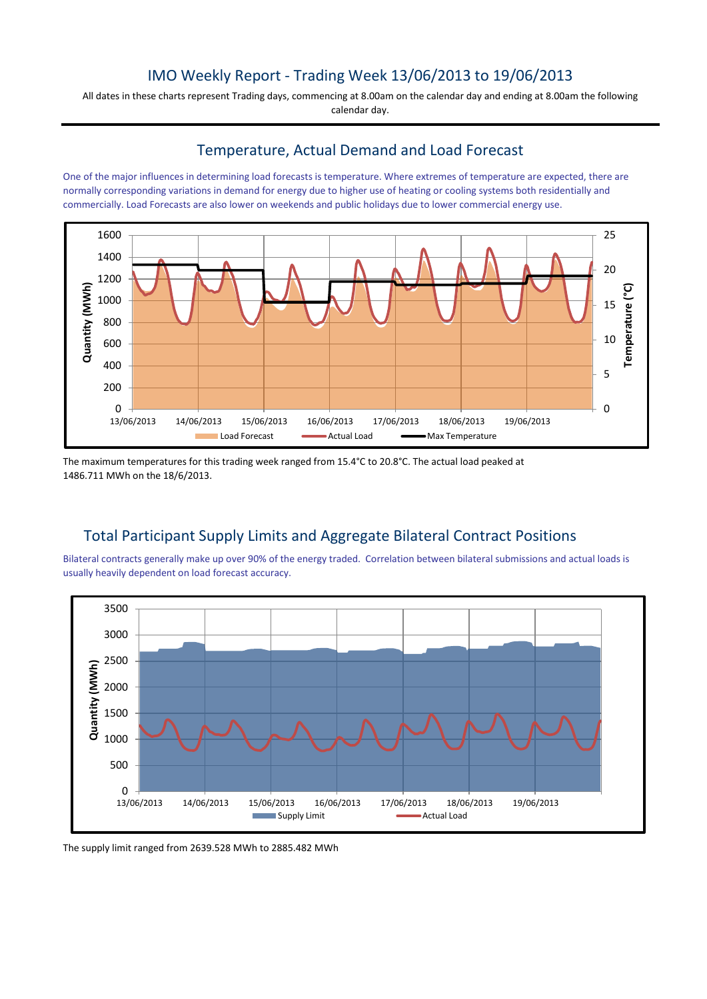## IMO Weekly Report - Trading Week 13/06/2013 to 19/06/2013

All dates in these charts represent Trading days, commencing at 8.00am on the calendar day and ending at 8.00am the following calendar day.

# Temperature, Actual Demand and Load Forecast

One of the major influences in determining load forecasts is temperature. Where extremes of temperature are expected, there are normally corresponding variations in demand for energy due to higher use of heating or cooling systems both residentially and commercially. Load Forecasts are also lower on weekends and public holidays due to lower commercial energy use.



The maximum temperatures for this trading week ranged from 15.4°C to 20.8°C. The actual load peaked at 1486.711 MWh on the 18/6/2013.

# Total Participant Supply Limits and Aggregate Bilateral Contract Positions

Bilateral contracts generally make up over 90% of the energy traded. Correlation between bilateral submissions and actual loads is usually heavily dependent on load forecast accuracy.



The supply limit ranged from 2639.528 MWh to 2885.482 MWh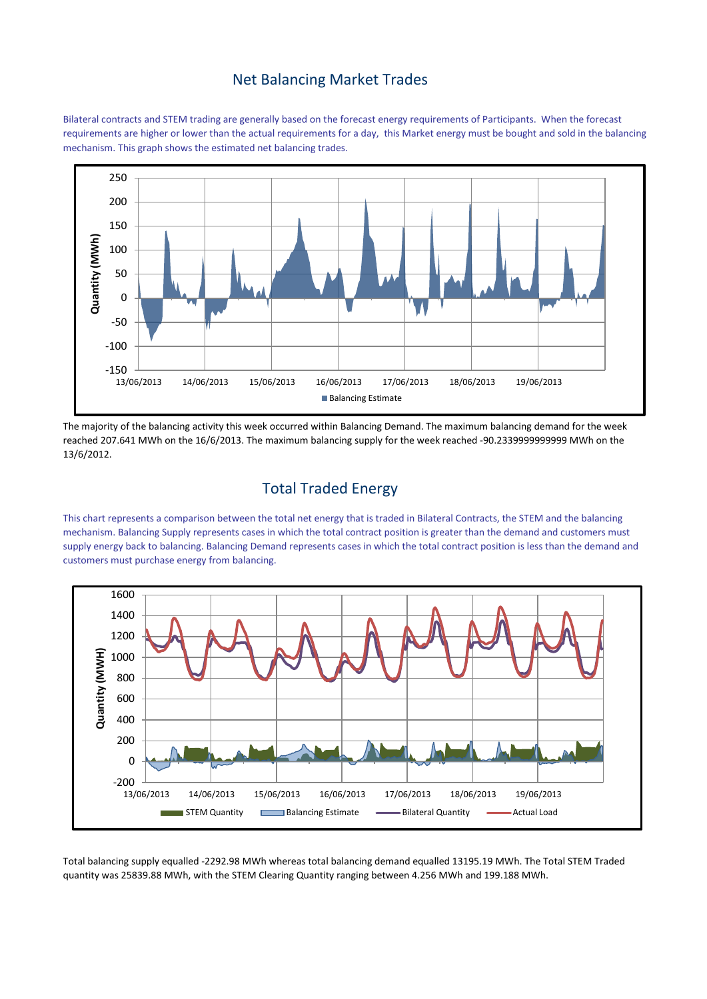#### Net Balancing Market Trades

Bilateral contracts and STEM trading are generally based on the forecast energy requirements of Participants. When the forecast requirements are higher or lower than the actual requirements for a day, this Market energy must be bought and sold in the balancing mechanism. This graph shows the estimated net balancing trades.



The majority of the balancing activity this week occurred within Balancing Demand. The maximum balancing demand for the week reached 207.641 MWh on the 16/6/2013. The maximum balancing supply for the week reached -90.2339999999999 MWh on the 13/6/2012.

# Total Traded Energy

This chart represents a comparison between the total net energy that is traded in Bilateral Contracts, the STEM and the balancing mechanism. Balancing Supply represents cases in which the total contract position is greater than the demand and customers must supply energy back to balancing. Balancing Demand represents cases in which the total contract position is less than the demand and customers must purchase energy from balancing.



Total balancing supply equalled -2292.98 MWh whereas total balancing demand equalled 13195.19 MWh. The Total STEM Traded quantity was 25839.88 MWh, with the STEM Clearing Quantity ranging between 4.256 MWh and 199.188 MWh.